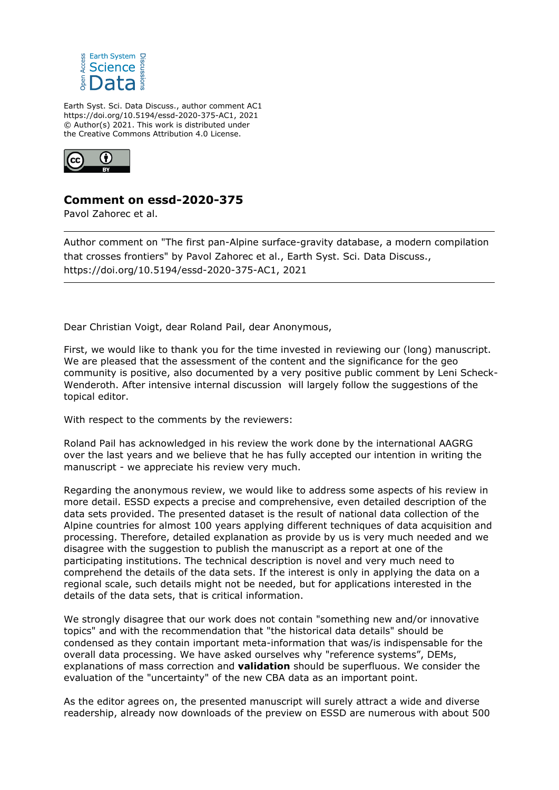

Earth Syst. Sci. Data Discuss., author comment AC1 https://doi.org/10.5194/essd-2020-375-AC1, 2021 © Author(s) 2021. This work is distributed under the Creative Commons Attribution 4.0 License.



## **Comment on essd-2020-375**

Pavol Zahorec et al.

Author comment on "The first pan-Alpine surface-gravity database, a modern compilation that crosses frontiers" by Pavol Zahorec et al., Earth Syst. Sci. Data Discuss., https://doi.org/10.5194/essd-2020-375-AC1, 2021

Dear Christian Voigt, dear Roland Pail, dear Anonymous,

First, we would like to thank you for the time invested in reviewing our (long) manuscript. We are pleased that the assessment of the content and the significance for the geo community is positive, also documented by a very positive public comment by Leni Scheck-Wenderoth. After intensive internal discussion will largely follow the suggestions of the topical editor.

With respect to the comments by the reviewers:

Roland Pail has acknowledged in his review the work done by the international AAGRG over the last years and we believe that he has fully accepted our intention in writing the manuscript - we appreciate his review very much.

Regarding the anonymous review, we would like to address some aspects of his review in more detail. ESSD expects a precise and comprehensive, even detailed description of the data sets provided. The presented dataset is the result of national data collection of the Alpine countries for almost 100 years applying different techniques of data acquisition and processing. Therefore, detailed explanation as provide by us is very much needed and we disagree with the suggestion to publish the manuscript as a report at one of the participating institutions. The technical description is novel and very much need to comprehend the details of the data sets. If the interest is only in applying the data on a regional scale, such details might not be needed, but for applications interested in the details of the data sets, that is critical information.

We strongly disagree that our work does not contain "something new and/or innovative topics" and with the recommendation that "the historical data details" should be condensed as they contain important meta-information that was/is indispensable for the overall data processing. We have asked ourselves why "reference systems", DEMs, explanations of mass correction and **validation** should be superfluous. We consider the evaluation of the "uncertainty" of the new CBA data as an important point.

As the editor agrees on, the presented manuscript will surely attract a wide and diverse readership, already now downloads of the preview on ESSD are numerous with about 500